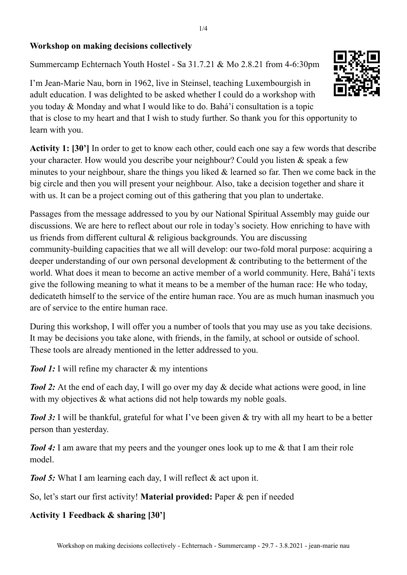## **Workshop on making decisions collectively**

Summercamp Echternach Youth Hostel - Sa 31.7.21 & Mo 2.8.21 from 4-6:30pm

I'm Jean-Marie Nau, born in 1962, live in Steinsel, teaching Luxembourgish in adult education. I was delighted to be asked whether I could do a workshop with you today & Monday and what I would like to do. Bahá'í consultation is a topic that is close to my heart and that I wish to study further. So thank you for this opportunity to learn with you.

**Activity 1: [30']** In order to get to know each other, could each one say a few words that describe your character. How would you describe your neighbour? Could you listen & speak a few minutes to your neighbour, share the things you liked  $\&$  learned so far. Then we come back in the big circle and then you will present your neighbour. Also, take a decision together and share it with us. It can be a project coming out of this gathering that you plan to undertake.

Passages from the message addressed to you by our National Spiritual Assembly may guide our discussions. We are here to reflect about our role in today's society. How enriching to have with us friends from different cultural & religious backgrounds. You are discussing community-building capacities that we all will develop: our two-fold moral purpose: acquiring a deeper understanding of our own personal development & contributing to the betterment of the world. What does it mean to become an active member of a world community. Here, Bahá'í texts give the following meaning to what it means to be a member of the human race: He who today, dedicateth himself to the service of the entire human race. You are as much human inasmuch you are of service to the entire human race.

During this workshop, I will offer you a number of tools that you may use as you take decisions. It may be decisions you take alone, with friends, in the family, at school or outside of school. These tools are already mentioned in the letter addressed to you.

*Tool 1:* I will refine my character & my intentions

*Tool 2:* At the end of each day, I will go over my day & decide what actions were good, in line with my objectives  $\&$  what actions did not help towards my noble goals.

*Tool* 3: I will be thankful, grateful for what I've been given & try with all my heart to be a better person than yesterday.

*Tool 4:* I am aware that my peers and the younger ones look up to me & that I am their role model.

*Tool* 5: What I am learning each day, I will reflect & act upon it.

So, let's start our first activity! **Material provided:** Paper & pen if needed

## **Activity 1 Feedback & sharing [30']**

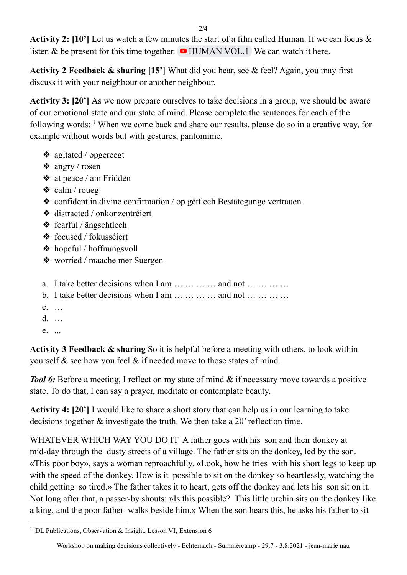$2/4$ 

**Activity 2: [10']** Let us watch a few minutes the start of a film called Human. If we can focus & listen & be present for this time together.  $\bullet$  [HUMAN](https://www.youtube.com/watch?v=FLqft-ICVQo) VOL.1 We can watch it here.

**Activity 2 Feedback & sharing [15']** What did you hear, see & feel? Again, you may first discuss it with your neighbour or another neighbour.

**Activity 3: [20']** As we now prepare ourselves to take decisions in a group, we should be aware of our emotional state and our state of mind. Please complete the sentences for each of the following words: <sup>1</sup> When we come back and share our results, please do so in a creative way, for example without words but with gestures, pantomime.

- ❖ agitated / opgereegt
- ❖ angry / rosen
- ❖ at peace / am Fridden
- $\triangleleft$  calm / roueg
- ❖ confident in divine confirmation / op gëttlech Bestätegunge vertrauen
- ❖ distracted / onkonzentréiert
- ❖ fearful / ängschtlech
- ❖ focused / fokusséiert
- ❖ hopeful / hoffnungsvoll
- ❖ worried / maache mer Suergen
- a. I take better decisions when I am  $\dots \dots \dots$  and not  $\dots \dots \dots$
- b. I take better decisions when I am  $\dots \dots \dots$  and not  $\dots \dots \dots$
- c. …
- d. …
- e. ...

**Activity 3 Feedback & sharing** So it is helpful before a meeting with others, to look within yourself & see how you feel & if needed move to those states of mind.

*Tool* 6: Before a meeting, I reflect on my state of mind & if necessary move towards a positive state. To do that, I can say a prayer, meditate or contemplate beauty.

**Activity 4: [20']** I would like to share a short story that can help us in our learning to take decisions together & investigate the truth. We then take a 20' reflection time.

WHATEVER WHICH WAY YOU DO IT A father goes with his son and their donkey at mid-day through the dusty streets of a village. The father sits on the donkey, led by the son. «This poor boy», says a woman reproachfully. «Look, how he tries with his short legs to keep up with the speed of the donkey. How is it possible to sit on the donkey so heartlessly, watching the child getting so tired.» The father takes it to heart, gets off the donkey and lets his son sit on it. Not long after that, a passer-by shouts: »Is this possible? This little urchin sits on the donkey like a king, and the poor father walks beside him.» When the son hears this, he asks his father to sit

<sup>&</sup>lt;sup>1</sup> DL Publications, Observation & Insight, Lesson VI, Extension 6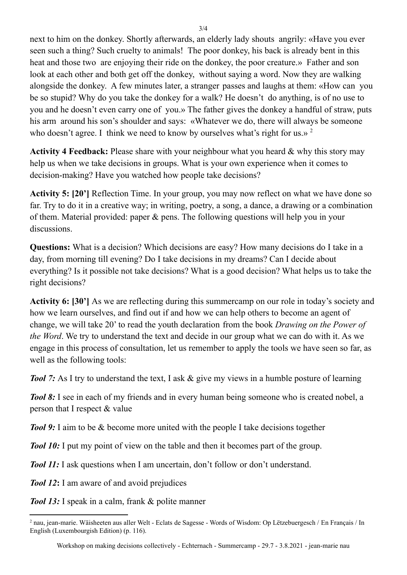next to him on the donkey. Shortly afterwards, an elderly lady shouts angrily: «Have you ever seen such a thing? Such cruelty to animals! The poor donkey, his back is already bent in this heat and those two are enjoying their ride on the donkey, the poor creature.» Father and son look at each other and both get off the donkey, without saying a word. Now they are walking alongside the donkey. A few minutes later, a stranger passes and laughs at them: «How can you be so stupid? Why do you take the donkey for a walk? He doesn't do anything, is of no use to you and he doesn't even carry one of you.» The father gives the donkey a handful of straw, puts his arm around his son's shoulder and says: «Whatever we do, there will always be someone who doesn't agree. I think we need to know by ourselves what's right for us.»  $2$ 

**Activity 4 Feedback:** Please share with your neighbour what you heard & why this story may help us when we take decisions in groups. What is your own experience when it comes to decision-making? Have you watched how people take decisions?

**Activity 5: [20']** Reflection Time. In your group, you may now reflect on what we have done so far. Try to do it in a creative way; in writing, poetry, a song, a dance, a drawing or a combination of them. Material provided: paper & pens. The following questions will help you in your discussions.

**Questions:** What is a decision? Which decisions are easy? How many decisions do I take in a day, from morning till evening? Do I take decisions in my dreams? Can I decide about everything? Is it possible not take decisions? What is a good decision? What helps us to take the right decisions?

**Activity 6: [30']** As we are reflecting during this summercamp on our role in today's society and how we learn ourselves, and find out if and how we can help others to become an agent of change, we will take 20' to read the youth declaration from the book *Drawing on the Power of the Word*. We try to understand the text and decide in our group what we can do with it. As we engage in this process of consultation, let us remember to apply the tools we have seen so far, as well as the following tools:

*Tool* 7: As I try to understand the text, I ask & give my views in a humble posture of learning

*Tool 8:* I see in each of my friends and in every human being someone who is created nobel, a person that I respect & value

*Tool* 9: I aim to be & become more united with the people I take decisions together

*Tool 10:* I put my point of view on the table and then it becomes part of the group.

*Tool 11:* I ask questions when I am uncertain, don't follow or don't understand.

*Tool 12***:** I am aware of and avoid prejudices

*Tool 13:* I speak in a calm, frank & polite manner

<sup>2</sup> nau, jean-marie. Wäisheeten aus aller Welt - Eclats de Sagesse - Words of Wisdom: Op Lëtzebuergesch / En Français / In English (Luxembourgish Edition) (p. 116).